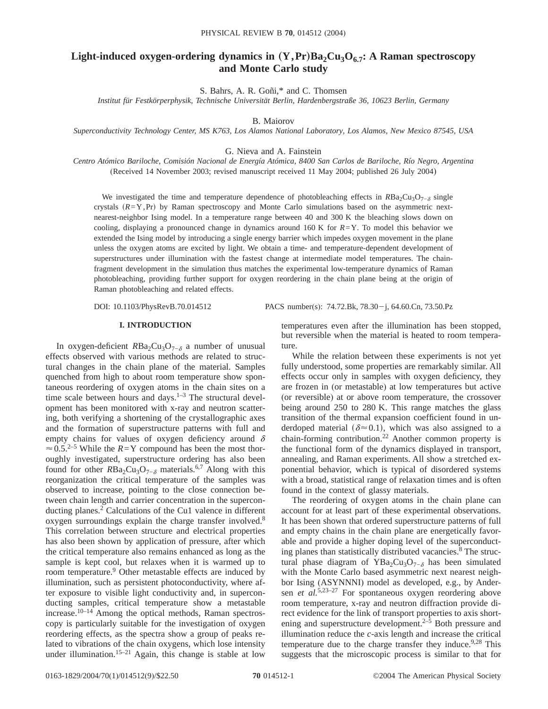# **Light-induced oxygen-ordering dynamics in**  $(Y, Pr) Ba<sub>2</sub>Cu<sub>3</sub>O<sub>6.7</sub>$ : A Raman spectroscopy **and Monte Carlo study**

S. Bahrs, A. R. Goñi,\* and C. Thomsen

*Institut für Festkörperphysik, Technische Universität Berlin, Hardenbergstraße 36, 10623 Berlin, Germany*

B. Maiorov

*Superconductivity Technology Center, MS K763, Los Alamos National Laboratory, Los Alamos, New Mexico 87545, USA*

G. Nieva and A. Fainstein

*Centro Atómico Bariloche, Comisión Nacional de Energía Atómica, 8400 San Carlos de Bariloche, Río Negro, Argentina* (Received 14 November 2003; revised manuscript received 11 May 2004; published 26 July 2004)

We investigated the time and temperature dependence of photobleaching effects in  $RBa_2Cu_3O_{7-\delta}$  single crystals ( $R = Y, Pr$ ) by Raman spectroscopy and Monte Carlo simulations based on the asymmetric nextnearest-neighbor Ising model. In a temperature range between 40 and 300 K the bleaching slows down on cooling, displaying a pronounced change in dynamics around 160 K for *R*=Y. To model this behavior we extended the Ising model by introducing a single energy barrier which impedes oxygen movement in the plane unless the oxygen atoms are excited by light. We obtain a time- and temperature-dependent development of superstructures under illumination with the fastest change at intermediate model temperatures. The chainfragment development in the simulation thus matches the experimental low-temperature dynamics of Raman photobleaching, providing further support for oxygen reordering in the chain plane being at the origin of Raman photobleaching and related effects.

DOI: 10.1103/PhysRevB.70.014512 PACS number(s): 74.72.Bk, 78.30-j, 64.60.Cn, 73.50.Pz

# **I. INTRODUCTION**

In oxygen-deficient  $RBa_2Cu_3O_{7-\delta}$  a number of unusual effects observed with various methods are related to structural changes in the chain plane of the material. Samples quenched from high to about room temperature show spontaneous reordering of oxygen atoms in the chain sites on a time scale between hours and days. $1-3$  The structural development has been monitored with x-ray and neutron scattering, both verifying a shortening of the crystallographic axes and the formation of superstructure patterns with full and empty chains for values of oxygen deficiency around  $\delta$  $\approx$  0.5.<sup>2–5</sup> While the *R*=Y compound has been the most thoroughly investigated, superstructure ordering has also been found for other  $RBa_2Cu_3O_{7-\delta}$  materials.<sup>6,7</sup> Along with this reorganization the critical temperature of the samples was observed to increase, pointing to the close connection between chain length and carrier concentration in the superconducting planes.<sup>2</sup> Calculations of the Cu1 valence in different oxygen surroundings explain the charge transfer involved.8 This correlation between structure and electrical properties has also been shown by application of pressure, after which the critical temperature also remains enhanced as long as the sample is kept cool, but relaxes when it is warmed up to room temperature.<sup>9</sup> Other metastable effects are induced by illumination, such as persistent photoconductivity, where after exposure to visible light conductivity and, in superconducting samples, critical temperature show a metastable increase.10–14 Among the optical methods, Raman spectroscopy is particularly suitable for the investigation of oxygen reordering effects, as the spectra show a group of peaks related to vibrations of the chain oxygens, which lose intensity under illumination.<sup>15-21</sup> Again, this change is stable at low

temperatures even after the illumination has been stopped, but reversible when the material is heated to room temperature.

While the relation between these experiments is not yet fully understood, some properties are remarkably similar. All effects occur only in samples with oxygen deficiency, they are frozen in (or metastable) at low temperatures but active (or reversible) at or above room temperature, the crossover being around 250 to 280 K. This range matches the glass transition of the thermal expansion coefficient found in underdoped material ( $\delta \approx 0.1$ ), which was also assigned to a chain-forming contribution.22 Another common property is the functional form of the dynamics displayed in transport, annealing, and Raman experiments. All show a stretched exponential behavior, which is typical of disordered systems with a broad, statistical range of relaxation times and is often found in the context of glassy materials.

The reordering of oxygen atoms in the chain plane can account for at least part of these experimental observations. It has been shown that ordered superstructure patterns of full and empty chains in the chain plane are energetically favorable and provide a higher doping level of the superconducting planes than statistically distributed vacancies.<sup>8</sup> The structural phase diagram of YBa<sub>2</sub>Cu<sub>3</sub>O<sub>7−</sub> $_{\delta}$  has been simulated with the Monte Carlo based asymmetric next nearest neighbor Ising (ASYNNNI) model as developed, e.g., by Andersen *et al.*5,23–27 For spontaneous oxygen reordering above room temperature, x-ray and neutron diffraction provide direct evidence for the link of transport properties to axis shortening and superstructure development.<sup>2–5</sup> Both pressure and illumination reduce the *c*-axis length and increase the critical temperature due to the charge transfer they induce.<sup>9,28</sup> This suggests that the microscopic process is similar to that for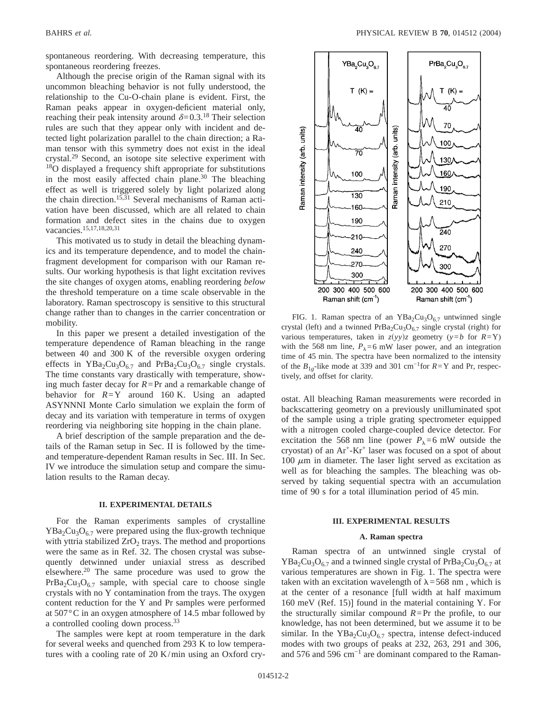spontaneous reordering. With decreasing temperature, this spontaneous reordering freezes.

Although the precise origin of the Raman signal with its uncommon bleaching behavior is not fully understood, the relationship to the Cu-O-chain plane is evident. First, the Raman peaks appear in oxygen-deficient material only, reaching their peak intensity around  $\delta = 0.3$ .<sup>18</sup> Their selection rules are such that they appear only with incident and detected light polarization parallel to the chain direction; a Raman tensor with this symmetry does not exist in the ideal crystal.29 Second, an isotope site selective experiment with <sup>18</sup>O displayed a frequency shift appropriate for substitutions in the most easily affected chain plane.<sup>30</sup> The bleaching effect as well is triggered solely by light polarized along the chain direction.<sup>15,31</sup> Several mechanisms of Raman activation have been discussed, which are all related to chain formation and defect sites in the chains due to oxygen vacancies.15,17,18,20,31

This motivated us to study in detail the bleaching dynamics and its temperature dependence, and to model the chainfragment development for comparison with our Raman results. Our working hypothesis is that light excitation revives the site changes of oxygen atoms, enabling reordering *below* the threshold temperature on a time scale observable in the laboratory. Raman spectroscopy is sensitive to this structural change rather than to changes in the carrier concentration or mobility.

In this paper we present a detailed investigation of the temperature dependence of Raman bleaching in the range between 40 and 300 K of the reversible oxygen ordering effects in  $YBa<sub>2</sub>Cu<sub>3</sub>O<sub>6.7</sub>$  and  $PrBa<sub>2</sub>Cu<sub>3</sub>O<sub>6.7</sub>$  single crystals. The time constants vary drastically with temperature, showing much faster decay for *R*=Pr and a remarkable change of behavior for  $R = Y$  around 160 K. Using an adapted ASYNNNI Monte Carlo simulation we explain the form of decay and its variation with temperature in terms of oxygen reordering via neighboring site hopping in the chain plane.

A brief description of the sample preparation and the details of the Raman setup in Sec. II is followed by the timeand temperature-dependent Raman results in Sec. III. In Sec. IV we introduce the simulation setup and compare the simulation results to the Raman decay.

# **II. EXPERIMENTAL DETAILS**

For the Raman experiments samples of crystalline  $YBa<sub>2</sub>Cu<sub>3</sub>O<sub>6.7</sub>$  were prepared using the flux-growth technique with yttria stabilized  $ZrO<sub>2</sub>$  trays. The method and proportions were the same as in Ref. 32. The chosen crystal was subsequently detwinned under uniaxial stress as described elsewhere.20 The same procedure was used to grow the  $PrBa<sub>2</sub>Cu<sub>3</sub>O<sub>6.7</sub>$  sample, with special care to choose single crystals with no Y contamination from the trays. The oxygen content reduction for the Y and Pr samples were performed at 507°C in an oxygen atmosphere of 14.5 mbar followed by a controlled cooling down process.33

The samples were kept at room temperature in the dark for several weeks and quenched from 293 K to low temperatures with a cooling rate of 20 K/min using an Oxford cry-



FIG. 1. Raman spectra of an  $YBa<sub>2</sub>Cu<sub>3</sub>O<sub>6.7</sub>$  untwinned single crystal (left) and a twinned  $PrBa<sub>2</sub>Cu<sub>3</sub>O<sub>6.7</sub>$  single crystal (right) for various temperatures, taken in  $z(yy)z$  geometry ( $y=b$  for  $R=Y$ ) with the 568 nm line,  $P_{\lambda}=6$  mW laser power, and an integration time of 45 min. The spectra have been normalized to the intensity of the  $B_{1\rho}$ -like mode at 339 and 301 cm<sup>-1</sup>for  $R = Y$  and Pr, respectively, and offset for clarity.

ostat. All bleaching Raman measurements were recorded in backscattering geometry on a previously unilluminated spot of the sample using a triple grating spectrometer equipped with a nitrogen cooled charge-coupled device detector. For excitation the 568 nm line (power  $P_{\lambda}=6$  mW outside the cryostat) of an Ar+-Kr+ laser was focused on a spot of about 100  $\mu$ m in diameter. The laser light served as excitation as well as for bleaching the samples. The bleaching was observed by taking sequential spectra with an accumulation time of 90 s for a total illumination period of 45 min.

## **III. EXPERIMENTAL RESULTS**

#### **A. Raman spectra**

Raman spectra of an untwinned single crystal of  $YBa<sub>2</sub>Cu<sub>3</sub>O<sub>6.7</sub>$  and a twinned single crystal of  $PrBa<sub>2</sub>Cu<sub>3</sub>O<sub>6.7</sub>$  at various temperatures are shown in Fig. 1. The spectra were taken with an excitation wavelength of  $\lambda$ =568 nm, which is at the center of a resonance [full width at half maximum 160 meV (Ref. 15)] found in the material containing Y. For the structurally similar compound  $R=Pr$  the profile, to our knowledge, has not been determined, but we assume it to be similar. In the  $YBa<sub>2</sub>Cu<sub>3</sub>O<sub>6.7</sub>$  spectra, intense defect-induced modes with two groups of peaks at 232, 263, 291 and 306, and 576 and 596 cm−1 are dominant compared to the Raman-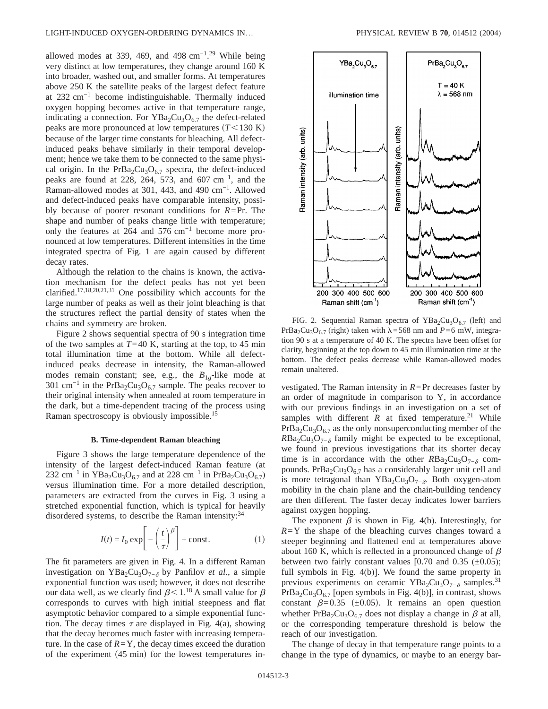allowed modes at 339, 469, and 498 cm<sup>-1</sup>.<sup>29</sup> While being very distinct at low temperatures, they change around 160 K into broader, washed out, and smaller forms. At temperatures above 250 K the satellite peaks of the largest defect feature at 232 cm−1 become indistinguishable. Thermally induced oxygen hopping becomes active in that temperature range, indicating a connection. For  $YBa<sub>2</sub>Cu<sub>3</sub>O<sub>6.7</sub>$  the defect-related peaks are more pronounced at low temperatures  $(T<130 K)$ because of the larger time constants for bleaching. All defectinduced peaks behave similarly in their temporal development; hence we take them to be connected to the same physical origin. In the PrBa<sub>2</sub>Cu<sub>3</sub>O<sub>6.7</sub> spectra, the defect-induced peaks are found at 228, 264, 573, and 607 cm<sup>-1</sup>, and the Raman-allowed modes at 301, 443, and 490 cm−1. Allowed and defect-induced peaks have comparable intensity, possibly because of poorer resonant conditions for *R*=Pr. The shape and number of peaks change little with temperature; only the features at 264 and 576 cm<sup>-1</sup> become more pronounced at low temperatures. Different intensities in the time integrated spectra of Fig. 1 are again caused by different decay rates.

Although the relation to the chains is known, the activation mechanism for the defect peaks has not yet been clarified.17,18,20,21,31 One possibility which accounts for the large number of peaks as well as their joint bleaching is that the structures reflect the partial density of states when the chains and symmetry are broken.

Figure 2 shows sequential spectra of 90 s integration time of the two samples at  $T=40$  K, starting at the top, to 45 min total illumination time at the bottom. While all defectinduced peaks decrease in intensity, the Raman-allowed modes remain constant; see, e.g., the  $B_{1g}$ -like mode at 301 cm<sup>-1</sup> in the PrBa<sub>2</sub>Cu<sub>3</sub>O<sub>6.7</sub> sample. The peaks recover to their original intensity when annealed at room temperature in the dark, but a time-dependent tracing of the process using Raman spectroscopy is obviously impossible.<sup>1</sup>

#### **B. Time-dependent Raman bleaching**

Figure 3 shows the large temperature dependence of the intensity of the largest defect-induced Raman feature (at 232 cm<sup>-1</sup> in YBa<sub>2</sub>Cu<sub>3</sub>O<sub>6.7</sub> and at 228 cm<sup>-1</sup> in PrBa<sub>2</sub>Cu<sub>3</sub>O<sub>6.7</sub>) versus illumination time. For a more detailed description, parameters are extracted from the curves in Fig. 3 using a stretched exponential function, which is typical for heavily disordered systems, to describe the Raman intensity:<sup>34</sup>

$$
I(t) = I_0 \exp\left[-\left(\frac{t}{\tau}\right)^{\beta}\right] + \text{const.}
$$
 (1)

The fit parameters are given in Fig. 4. In a different Raman investigation on YBa<sub>2</sub>Cu<sub>3</sub>O<sub>7− $\delta$ </sub> by Panfilov *et al.*, a simple exponential function was used; however, it does not describe our data well, as we clearly find  $\beta$  < 1.<sup>18</sup> A small value for  $\beta$ corresponds to curves with high initial steepness and flat asymptotic behavior compared to a simple exponential function. The decay times  $\tau$  are displayed in Fig. 4(a), showing that the decay becomes much faster with increasing temperature. In the case of  $R = Y$ , the decay times exceed the duration of the experiment  $(45 \text{ min})$  for the lowest temperatures in-



FIG. 2. Sequential Raman spectra of  $YBa<sub>2</sub>Cu<sub>3</sub>O<sub>6.7</sub>$  (left) and PrBa<sub>2</sub>Cu<sub>3</sub>O<sub>6.7</sub> (right) taken with  $\lambda$ =568 nm and *P*=6 mW, integration 90 s at a temperature of 40 K. The spectra have been offset for clarity, beginning at the top down to 45 min illumination time at the bottom. The defect peaks decrease while Raman-allowed modes remain unaltered.

vestigated. The Raman intensity in *R*=Pr decreases faster by an order of magnitude in comparison to Y, in accordance with our previous findings in an investigation on a set of samples with different  $R$  at fixed temperature.<sup>21</sup> While  $PrBa<sub>2</sub>Cu<sub>3</sub>O<sub>6.7</sub>$  as the only nonsuperconducting member of the  $RBa_2Cu_3O_{7-\delta}$  family might be expected to be exceptional, we found in previous investigations that its shorter decay time is in accordance with the other  $RBa_2Cu_3O_{7-\delta}$  compounds. Pr $Ba_2Cu_3O_{6.7}$  has a considerably larger unit cell and is more tetragonal than YBa<sub>2</sub>Cu<sub>3</sub>O<sub>7− $\delta$ </sub>. Both oxygen-atom mobility in the chain plane and the chain-building tendency are then different. The faster decay indicates lower barriers against oxygen hopping.

The exponent  $\beta$  is shown in Fig. 4(b). Interestingly, for  $R = Y$  the shape of the bleaching curves changes toward a steeper beginning and flattened end at temperatures above about 160 K, which is reflected in a pronounced change of  $\beta$ between two fairly constant values [0.70 and 0.35  $(\pm 0.05)$ ; full symbols in Fig. 4(b)]. We found the same property in previous experiments on ceramic YBa<sub>2</sub>Cu<sub>3</sub>O<sub>7− $\delta$ </sub> samples.<sup>31</sup>  $PrBa<sub>2</sub>Cu<sub>3</sub>O<sub>6.7</sub>$  [open symbols in Fig. 4(b)], in contrast, shows constant  $\beta=0.35$  ( $\pm 0.05$ ). It remains an open question whether PrBa<sub>2</sub>Cu<sub>3</sub>O<sub>6.7</sub> does not display a change in  $\beta$  at all, or the corresponding temperature threshold is below the reach of our investigation.

The change of decay in that temperature range points to a change in the type of dynamics, or maybe to an energy bar-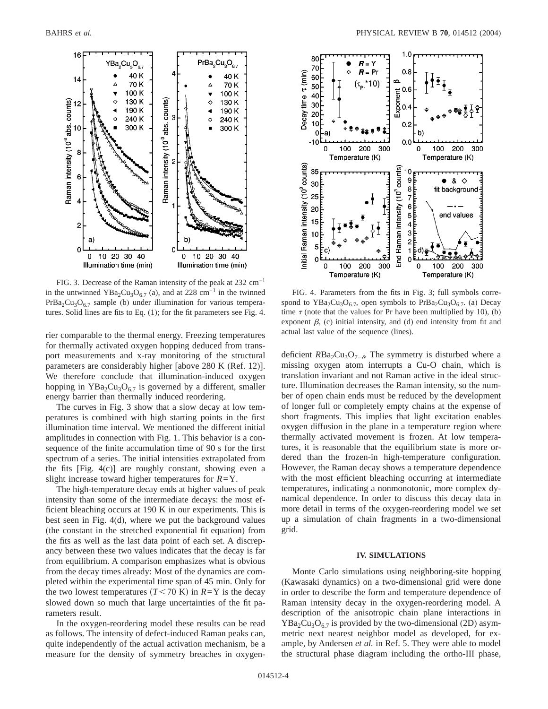

FIG. 3. Decrease of the Raman intensity of the peak at 232 cm−1 in the untwinned YBa<sub>2</sub>Cu<sub>3</sub>O<sub>6.7</sub> (a), and at 228 cm<sup>-1</sup> in the twinned  $PrBa<sub>2</sub>Cu<sub>3</sub>O<sub>6.7</sub>$  sample (b) under illumination for various temperatures. Solid lines are fits to Eq. (1); for the fit parameters see Fig. 4.

rier comparable to the thermal energy. Freezing temperatures for thermally activated oxygen hopping deduced from transport measurements and x-ray monitoring of the structural parameters are considerably higher [above 280 K (Ref. 12)]. We therefore conclude that illumination-induced oxygen hopping in  $YBa_2Cu_3O_{67}$  is governed by a different, smaller energy barrier than thermally induced reordering.

The curves in Fig. 3 show that a slow decay at low temperatures is combined with high starting points in the first illumination time interval. We mentioned the different initial amplitudes in connection with Fig. 1. This behavior is a consequence of the finite accumulation time of 90 s for the first spectrum of a series. The initial intensities extrapolated from the fits [Fig. 4(c)] are roughly constant, showing even a slight increase toward higher temperatures for  $R = Y$ .

The high-temperature decay ends at higher values of peak intensity than some of the intermediate decays: the most efficient bleaching occurs at 190 K in our experiments. This is best seen in Fig. 4(d), where we put the background values (the constant in the stretched exponential fit equation) from the fits as well as the last data point of each set. A discrepancy between these two values indicates that the decay is far from equilibrium. A comparison emphasizes what is obvious from the decay times already: Most of the dynamics are completed within the experimental time span of 45 min. Only for the two lowest temperatures  $(T<70 \text{ K})$  in  $R=Y$  is the decay slowed down so much that large uncertainties of the fit parameters result.

In the oxygen-reordering model these results can be read as follows. The intensity of defect-induced Raman peaks can, quite independently of the actual activation mechanism, be a measure for the density of symmetry breaches in oxygen-



FIG. 4. Parameters from the fits in Fig. 3; full symbols correspond to  $YBa<sub>2</sub>Cu<sub>3</sub>O<sub>6.7</sub>$ , open symbols to  $PrBa<sub>2</sub>Cu<sub>3</sub>O<sub>6.7</sub>$ . (a) Decay time  $\tau$  (note that the values for Pr have been multiplied by 10), (b) exponent  $\beta$ , (c) initial intensity, and (d) end intensity from fit and actual last value of the sequence (lines).

deficient  $RBa_2Cu_3O_{7-\delta}$ . The symmetry is disturbed where a missing oxygen atom interrupts a Cu-O chain, which is translation invariant and not Raman active in the ideal structure. Illumination decreases the Raman intensity, so the number of open chain ends must be reduced by the development of longer full or completely empty chains at the expense of short fragments. This implies that light excitation enables oxygen diffusion in the plane in a temperature region where thermally activated movement is frozen. At low temperatures, it is reasonable that the equilibrium state is more ordered than the frozen-in high-temperature configuration. However, the Raman decay shows a temperature dependence with the most efficient bleaching occurring at intermediate temperatures, indicating a nonmonotonic, more complex dynamical dependence. In order to discuss this decay data in more detail in terms of the oxygen-reordering model we set up a simulation of chain fragments in a two-dimensional grid.

### **IV. SIMULATIONS**

Monte Carlo simulations using neighboring-site hopping (Kawasaki dynamics) on a two-dimensional grid were done in order to describe the form and temperature dependence of Raman intensity decay in the oxygen-reordering model. A description of the anisotropic chain plane interactions in  $YBa<sub>2</sub>Cu<sub>3</sub>O<sub>67</sub>$  is provided by the two-dimensional (2D) asymmetric next nearest neighbor model as developed, for example, by Andersen *et al.* in Ref. 5. They were able to model the structural phase diagram including the ortho-III phase,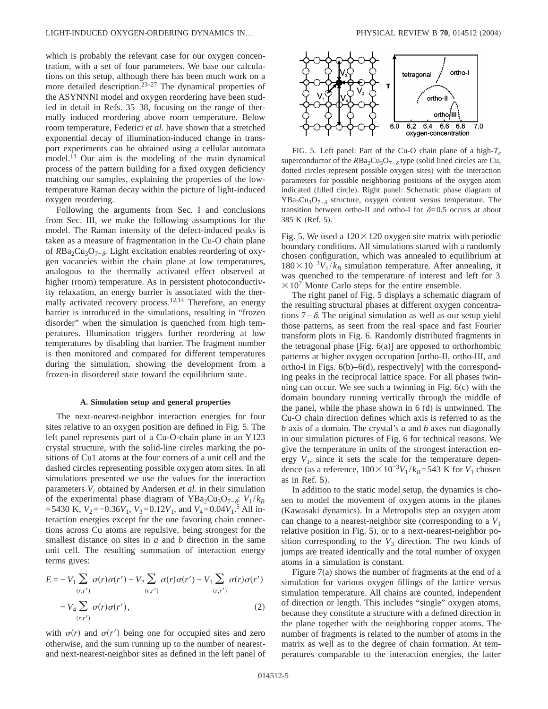which is probably the relevant case for our oxygen concentration, with a set of four parameters. We base our calculations on this setup, although there has been much work on a more detailed description.<sup>23-27</sup> The dynamical properties of the ASYNNNI model and oxygen reordering have been studied in detail in Refs. 35–38, focusing on the range of thermally induced reordering above room temperature. Below room temperature, Federici *et al.* have shown that a stretched exponential decay of illumination-induced change in transport experiments can be obtained using a cellular automata model.13 Our aim is the modeling of the main dynamical process of the pattern building for a fixed oxygen deficiency matching our samples, explaining the properties of the lowtemperature Raman decay within the picture of light-induced oxygen reordering.

Following the arguments from Sec. I and conclusions from Sec. III, we make the following assumptions for the model. The Raman intensity of the defect-induced peaks is taken as a measure of fragmentation in the Cu-O chain plane of *R*Ba<sub>2</sub>Cu<sub>3</sub>O<sub>7− $\delta$ </sub>. Light excitation enables reordering of oxygen vacancies within the chain plane at low temperatures, analogous to the thermally activated effect observed at higher (room) temperature. As in persistent photoconductivity relaxation, an energy barrier is associated with the thermally activated recovery process.<sup>12,14</sup> Therefore, an energy barrier is introduced in the simulations, resulting in "frozen disorder" when the simulation is quenched from high temperatures. Illumination triggers further reordering at low temperatures by disabling that barrier. The fragment number is then monitored and compared for different temperatures during the simulation, showing the development from a frozen-in disordered state toward the equilibrium state.

### **A. Simulation setup and general properties**

The next-nearest-neighbor interaction energies for four sites relative to an oxygen position are defined in Fig. 5. The left panel represents part of a Cu-O-chain plane in an Y123 crystal structure, with the solid-line circles marking the positions of Cu1 atoms at the four corners of a unit cell and the dashed circles representing possible oxygen atom sites. In all simulations presented we use the values for the interaction parameters *Vi* obtained by Andersen *et al.* in their simulation of the experimental phase diagram of YBa<sub>2</sub>Cu<sub>3</sub>O<sub>7− $\delta$ </sub>: *V*<sub>1</sub>/ $k_B$  $=$  5430 K,  $V_2$ = −0.36 $V_1$ ,  $V_3$ = 0.12 $V_1$ , and  $V_4$ = 0.04 $V_1$ .<sup>5</sup> All interaction energies except for the one favoring chain connections across Cu atoms are repulsive, being strongest for the smallest distance on sites in *a* and *b* direction in the same unit cell. The resulting summation of interaction energy terms gives:

$$
E = -V_1 \sum_{(r,r')} \sigma(r)\sigma(r') - V_2 \sum_{(r,r')} \sigma(r)\sigma(r') - V_3 \sum_{(r,r')} \sigma(r)\sigma(r')
$$
  
- 
$$
V_4 \sum_{(r,r')} \sigma(r)\sigma(r'),
$$
 (2)

with  $\sigma(r)$  and  $\sigma(r')$  being one for occupied sites and zero otherwise, and the sum running up to the number of nearestand next-nearest-neighbor sites as defined in the left panel of



FIG. 5. Left panel: Part of the Cu-O chain plane of a high- $T_c$ superconductor of the *R*Ba<sub>2</sub>Cu<sub>3</sub>O<sub>7−</sub><sub>δ</sub> type (solid lined circles are Cu, dotted circles represent possible oxygen sites) with the interaction parameters for possible neighboring positions of the oxygen atom indicated (filled circle). Right panel: Schematic phase diagram of YBa<sub>2</sub>Cu<sub>3</sub>O<sub>7− $\delta$ </sub> structure, oxygen content versus temperature. The transition between ortho-II and ortho-I for  $\delta = 0.5$  occurs at about 385 K (Ref. 5).

Fig. 5. We used a  $120 \times 120$  oxygen site matrix with periodic boundary conditions. All simulations started with a randomly chosen configuration, which was annealed to equilibrium at  $180 \times 10^{-3} V_1 / k_B$  simulation temperature. After annealing, it was quenched to the temperature of interest and left for 3  $\times 10^{7}$  Monte Carlo steps for the entire ensemble.

The right panel of Fig. 5 displays a schematic diagram of the resulting structural phases at different oxygen concentrations  $7-\delta$ . The original simulation as well as our setup yield those patterns, as seen from the real space and fast Fourier transform plots in Fig. 6. Randomly distributed fragments in the tetragonal phase [Fig. 6(a)] are opposed to orthorhombic patterns at higher oxygen occupation [ortho-II, ortho-III, and ortho-I in Figs. 6(b)–6(d), respectively] with the corresponding peaks in the reciprocal lattice space. For all phases twinning can occur. We see such a twinning in Fig. 6(c) with the domain boundary running vertically through the middle of the panel, while the phase shown in 6 (d) is untwinned. The Cu-O chain direction defines which axis is referred to as the *b* axis of a domain. The crystal's *a* and *b* axes run diagonally in our simulation pictures of Fig. 6 for technical reasons. We give the temperature in units of the strongest interaction energy  $V_1$ , since it sets the scale for the temperature dependence (as a reference,  $100 \times 10^{-3} V_1 / k_B = 543$  K for  $V_1$  chosen as in Ref. 5).

In addition to the static model setup, the dynamics is chosen to model the movement of oxygen atoms in the planes (Kawasaki dynamics). In a Metropolis step an oxygen atom can change to a nearest-neighbor site (corresponding to a  $V_1$ ) relative position in Fig. 5), or to a next-nearest-neighbor position corresponding to the  $V_3$  direction. The two kinds of jumps are treated identically and the total number of oxygen atoms in a simulation is constant.

Figure 7(a) shows the number of fragments at the end of a simulation for various oxygen fillings of the lattice versus simulation temperature. All chains are counted, independent of direction or length. This includes "single" oxygen atoms, because they constitute a structure with a defined direction in the plane together with the neighboring copper atoms. The number of fragments is related to the number of atoms in the matrix as well as to the degree of chain formation. At temperatures comparable to the interaction energies, the latter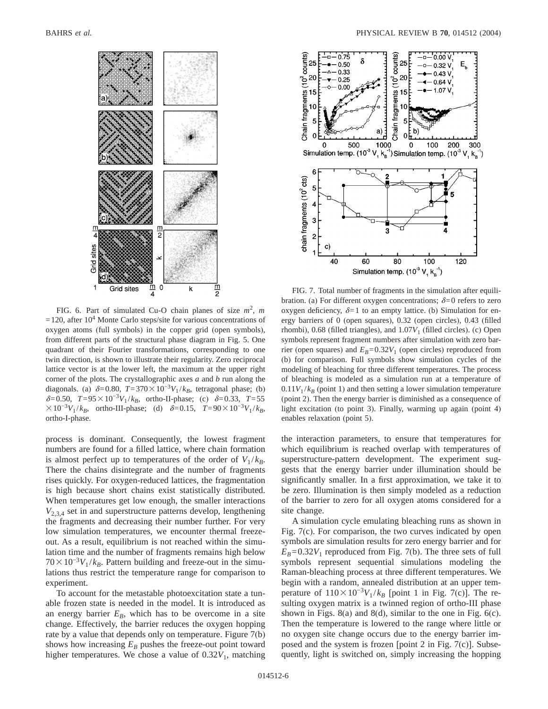

FIG. 6. Part of simulated Cu-O chain planes of size *m*2, *m*  $=120$ , after 10<sup>4</sup> Monte Carlo steps/site for various concentrations of oxygen atoms (full symbols) in the copper grid (open symbols), from different parts of the structural phase diagram in Fig. 5. One quadrant of their Fourier transformations, corresponding to one twin direction, is shown to illustrate their regularity. Zero reciprocal lattice vector is at the lower left, the maximum at the upper right corner of the plots. The crystallographic axes *a* and *b* run along the diagonals. (a)  $\delta$ =0.80,  $T$ =370×10<sup>-3</sup>*V*<sub>1</sub>/ $k_B$ , tetragonal phase; (b) <sup>d</sup>=0.50, *T*=95310−3*V*<sup>1</sup> /*kB*, ortho-II-phase; (c) <sup>d</sup>=0.33, *T*=55  $\times 10^{-3}V_1 / k_B$ , ortho-III-phase; (d)  $\delta = 0.15$ ,  $T = 90 \times 10^{-3}V_1 / k_B$ ortho-I-phase.

process is dominant. Consequently, the lowest fragment numbers are found for a filled lattice, where chain formation is almost perfect up to temperatures of the order of  $V_1/k_B$ . There the chains disintegrate and the number of fragments rises quickly. For oxygen-reduced lattices, the fragmentation is high because short chains exist statistically distributed. When temperatures get low enough, the smaller interactions *V*2,3,4 set in and superstructure patterns develop, lengthening the fragments and decreasing their number further. For very low simulation temperatures, we encounter thermal freezeout. As a result, equilibrium is not reached within the simulation time and the number of fragments remains high below  $70\times10^{-3}V_1/k_B$ . Pattern building and freeze-out in the simulations thus restrict the temperature range for comparison to experiment.

To account for the metastable photoexcitation state a tunable frozen state is needed in the model. It is introduced as an energy barrier  $E_B$ , which has to be overcome in a site change. Effectively, the barrier reduces the oxygen hopping rate by a value that depends only on temperature. Figure 7(b) shows how increasing  $E_B$  pushes the freeze-out point toward higher temperatures. We chose a value of  $0.32V_1$ , matching



FIG. 7. Total number of fragments in the simulation after equilibration. (a) For different oxygen concentrations;  $\delta = 0$  refers to zero oxygen deficiency,  $\delta = 1$  to an empty lattice. (b) Simulation for energy barriers of 0 (open squares), 0.32 (open circles), 0.43 (filled rhombi), 0.68 (filled triangles), and  $1.07V_1$  (filled circles). (c) Open symbols represent fragment numbers after simulation with zero barrier (open squares) and  $E_B=0.32V_1$  (open circles) reproduced from (b) for comparison. Full symbols show simulation cycles of the modeling of bleaching for three different temperatures. The process of bleaching is modeled as a simulation run at a temperature of  $0.11V_1/k_B$  (point 1) and then setting a lower simulation temperature (point 2). Then the energy barrier is diminished as a consequence of light excitation (to point 3). Finally, warming up again (point 4) enables relaxation (point 5).

the interaction parameters, to ensure that temperatures for which equilibrium is reached overlap with temperatures of superstructure-pattern development. The experiment suggests that the energy barrier under illumination should be significantly smaller. In a first approximation, we take it to be zero. Illumination is then simply modeled as a reduction of the barrier to zero for all oxygen atoms considered for a site change.

A simulation cycle emulating bleaching runs as shown in Fig. 7(c). For comparison, the two curves indicated by open symbols are simulation results for zero energy barrier and for  $E_B$ =0.32 $V_1$  reproduced from Fig. 7(b). The three sets of full symbols represent sequential simulations modeling the Raman-bleaching process at three different temperatures. We begin with a random, annealed distribution at an upper temperature of  $110\times10^{-3}V_1/k_B$  [point 1 in Fig. 7(c)]. The resulting oxygen matrix is a twinned region of ortho-III phase shown in Figs. 8(a) and 8(d), similar to the one in Fig. 6(c). Then the temperature is lowered to the range where little or no oxygen site change occurs due to the energy barrier imposed and the system is frozen [point 2 in Fig. 7(c)]. Subsequently, light is switched on, simply increasing the hopping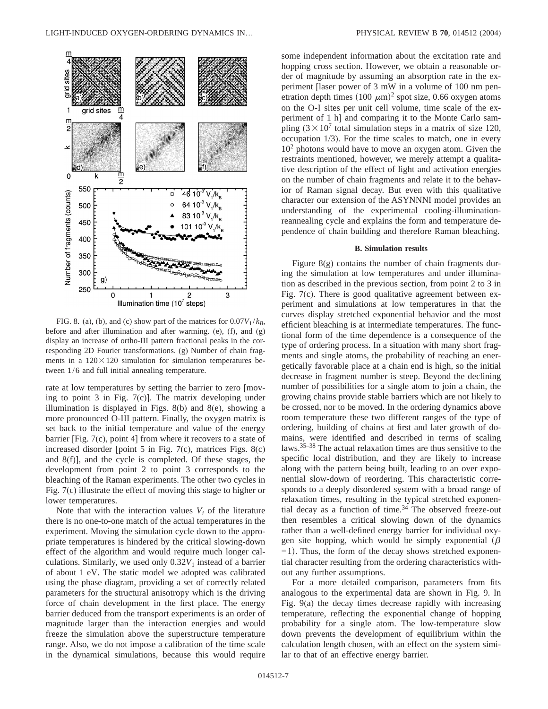

FIG. 8. (a), (b), and (c) show part of the matrices for  $0.07V_1/k_B$ , before and after illumination and after warming. (e), (f), and  $(g)$ display an increase of ortho-III pattern fractional peaks in the corresponding 2D Fourier transformations. (g) Number of chain fragments in a  $120\times120$  simulation for simulation temperatures between 1/6 and full initial annealing temperature.

rate at low temperatures by setting the barrier to zero [moving to point 3 in Fig. 7(c)]. The matrix developing under illumination is displayed in Figs. 8(b) and 8(e), showing a more pronounced O-III pattern. Finally, the oxygen matrix is set back to the initial temperature and value of the energy barrier [Fig. 7(c), point 4] from where it recovers to a state of increased disorder [point 5 in Fig. 7(c), matrices Figs. 8(c) and 8(f)], and the cycle is completed. Of these stages, the development from point 2 to point 3 corresponds to the bleaching of the Raman experiments. The other two cycles in Fig. 7(c) illustrate the effect of moving this stage to higher or lower temperatures.

Note that with the interaction values  $V_i$  of the literature there is no one-to-one match of the actual temperatures in the experiment. Moving the simulation cycle down to the appropriate temperatures is hindered by the critical slowing-down effect of the algorithm and would require much longer calculations. Similarly, we used only  $0.32V_1$  instead of a barrier of about 1 eV. The static model we adopted was calibrated using the phase diagram, providing a set of correctly related parameters for the structural anisotropy which is the driving force of chain development in the first place. The energy barrier deduced from the transport experiments is an order of magnitude larger than the interaction energies and would freeze the simulation above the superstructure temperature range. Also, we do not impose a calibration of the time scale in the dynamical simulations, because this would require some independent information about the excitation rate and hopping cross section. However, we obtain a reasonable order of magnitude by assuming an absorption rate in the experiment [laser power of 3 mW in a volume of 100 nm penetration depth times  $(100 \ \mu m)^2$  spot size, 0.66 oxygen atoms on the O-I sites per unit cell volume, time scale of the experiment of 1 h] and comparing it to the Monte Carlo sampling  $(3 \times 10^7$  total simulation steps in a matrix of size 120, occupation 1/3). For the time scales to match, one in every  $10<sup>2</sup>$  photons would have to move an oxygen atom. Given the restraints mentioned, however, we merely attempt a qualitative description of the effect of light and activation energies on the number of chain fragments and relate it to the behavior of Raman signal decay. But even with this qualitative character our extension of the ASYNNNI model provides an understanding of the experimental cooling-illuminationreannealing cycle and explains the form and temperature dependence of chain building and therefore Raman bleaching.

#### **B. Simulation results**

Figure  $8(g)$  contains the number of chain fragments during the simulation at low temperatures and under illumination as described in the previous section, from point 2 to 3 in Fig. 7(c). There is good qualitative agreement between experiment and simulations at low temperatures in that the curves display stretched exponential behavior and the most efficient bleaching is at intermediate temperatures. The functional form of the time dependence is a consequence of the type of ordering process. In a situation with many short fragments and single atoms, the probability of reaching an energetically favorable place at a chain end is high, so the initial decrease in fragment number is steep. Beyond the declining number of possibilities for a single atom to join a chain, the growing chains provide stable barriers which are not likely to be crossed, nor to be moved. In the ordering dynamics above room temperature these two different ranges of the type of ordering, building of chains at first and later growth of domains, were identified and described in terms of scaling laws.35–38 The actual relaxation times are thus sensitive to the specific local distribution, and they are likely to increase along with the pattern being built, leading to an over exponential slow-down of reordering. This characteristic corresponds to a deeply disordered system with a broad range of relaxation times, resulting in the typical stretched exponential decay as a function of time.<sup>34</sup> The observed freeze-out then resembles a critical slowing down of the dynamics rather than a well-defined energy barrier for individual oxygen site hopping, which would be simply exponential  $(\beta$  $=1$ ). Thus, the form of the decay shows stretched exponential character resulting from the ordering characteristics without any further assumptions.

For a more detailed comparison, parameters from fits analogous to the experimental data are shown in Fig. 9. In Fig. 9(a) the decay times decrease rapidly with increasing temperature, reflecting the exponential change of hopping probability for a single atom. The low-temperature slow down prevents the development of equilibrium within the calculation length chosen, with an effect on the system similar to that of an effective energy barrier.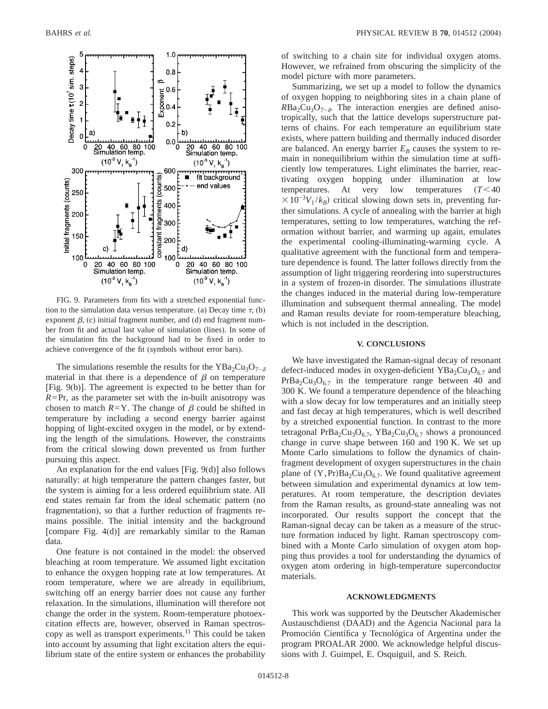

FIG. 9. Parameters from fits with a stretched exponential function to the simulation data versus temperature. (a) Decay time  $\tau$ , (b) exponent  $\beta$ , (c) initial fragment number, and (d) end fragment number from fit and actual last value of simulation (lines). In some of the simulation fits the background had to be fixed in order to achieve convergence of the fit (symbols without error bars).

The simulations resemble the results for the YBa<sub>2</sub>Cu<sub>3</sub>O<sub>7− $\delta$ </sub> material in that there is a dependence of  $\beta$  on temperature [Fig. 9(b)]. The agreement is expected to be better than for *R*=Pr, as the parameter set with the in-built anisotropy was chosen to match  $R = Y$ . The change of  $\beta$  could be shifted in temperature by including a second energy barrier against hopping of light-excited oxygen in the model, or by extending the length of the simulations. However, the constraints from the critical slowing down prevented us from further pursuing this aspect.

An explanation for the end values [Fig. 9(d)] also follows naturally: at high temperature the pattern changes faster, but the system is aiming for a less ordered equilibrium state. All end states remain far from the ideal schematic pattern (no fragmentation), so that a further reduction of fragments remains possible. The initial intensity and the background [compare Fig. 4(d)] are remarkably similar to the Raman data.

One feature is not contained in the model: the observed bleaching at room temperature. We assumed light excitation to enhance the oxygen hopping rate at low temperatures. At room temperature, where we are already in equilibrium, switching off an energy barrier does not cause any further relaxation. In the simulations, illumination will therefore not change the order in the system. Room-temperature photoexcitation effects are, however, observed in Raman spectroscopy as well as transport experiments.<sup>11</sup> This could be taken into account by assuming that light excitation alters the equilibrium state of the entire system or enhances the probability of switching to a chain site for individual oxygen atoms. However, we refrained from obscuring the simplicity of the model picture with more parameters.

Summarizing, we set up a model to follow the dynamics of oxygen hopping to neighboring sites in a chain plane of  $RBa<sub>2</sub>Cu<sub>3</sub>O<sub>7−\delta</sub>$ . The interaction energies are defined anisotropically, such that the lattice develops superstructure patterns of chains. For each temperature an equilibrium state exists, where pattern building and thermally induced disorder are balanced. An energy barrier  $E_B$  causes the system to remain in nonequilibrium within the simulation time at sufficiently low temperatures. Light eliminates the barrier, reactivating oxygen hopping under illumination at low temperatures. At very low temperatures  $(T<40)$  $310^{-3}V_1 / k_B$  critical slowing down sets in, preventing further simulations. A cycle of annealing with the barrier at high temperatures, setting to low temperatures, watching the reformation without barrier, and warming up again, emulates the experimental cooling-illuminating-warming cycle. A qualitative agreement with the functional form and temperature dependence is found. The latter follows directly from the assumption of light triggering reordering into superstructures in a system of frozen-in disorder. The simulations illustrate the changes induced in the material during low-temperature illumination and subsequent thermal annealing. The model and Raman results deviate for room-temperature bleaching, which is not included in the description.

#### **V. CONCLUSIONS**

We have investigated the Raman-signal decay of resonant defect-induced modes in oxygen-deficient  $YBa_2Cu_3O_{6.7}$  and  $PrBa<sub>2</sub>Cu<sub>3</sub>O<sub>6.7</sub>$  in the temperature range between 40 and 300 K. We found a temperature dependence of the bleaching with a slow decay for low temperatures and an initially steep and fast decay at high temperatures, which is well described by a stretched exponential function. In contrast to the more tetragonal PrBa<sub>2</sub>Cu<sub>3</sub>O<sub>6.7</sub>, YBa<sub>2</sub>Cu<sub>3</sub>O<sub>6.7</sub> shows a pronounced change in curve shape between 160 and 190 K. We set up Monte Carlo simulations to follow the dynamics of chainfragment development of oxygen superstructures in the chain plane of  $(Y, Pr)Ba<sub>2</sub>Cu<sub>3</sub>O<sub>6.7</sub>$ . We found qualitative agreement between simulation and experimental dynamics at low temperatures. At room temperature, the description deviates from the Raman results, as ground-state annealing was not incorporated. Our results support the concept that the Raman-signal decay can be taken as a measure of the structure formation induced by light. Raman spectroscopy combined with a Monte Carlo simulation of oxygen atom hopping thus provides a tool for understanding the dynamics of oxygen atom ordering in high-temperature superconductor materials.

#### **ACKNOWLEDGMENTS**

This work was supported by the Deutscher Akademischer Austauschdienst (DAAD) and the Agencia Nacional para la Promoción Científica y Tecnológica of Argentina under the program PROALAR 2000. We acknowledge helpful discussions with J. Guimpel, E. Osquiguil, and S. Reich.